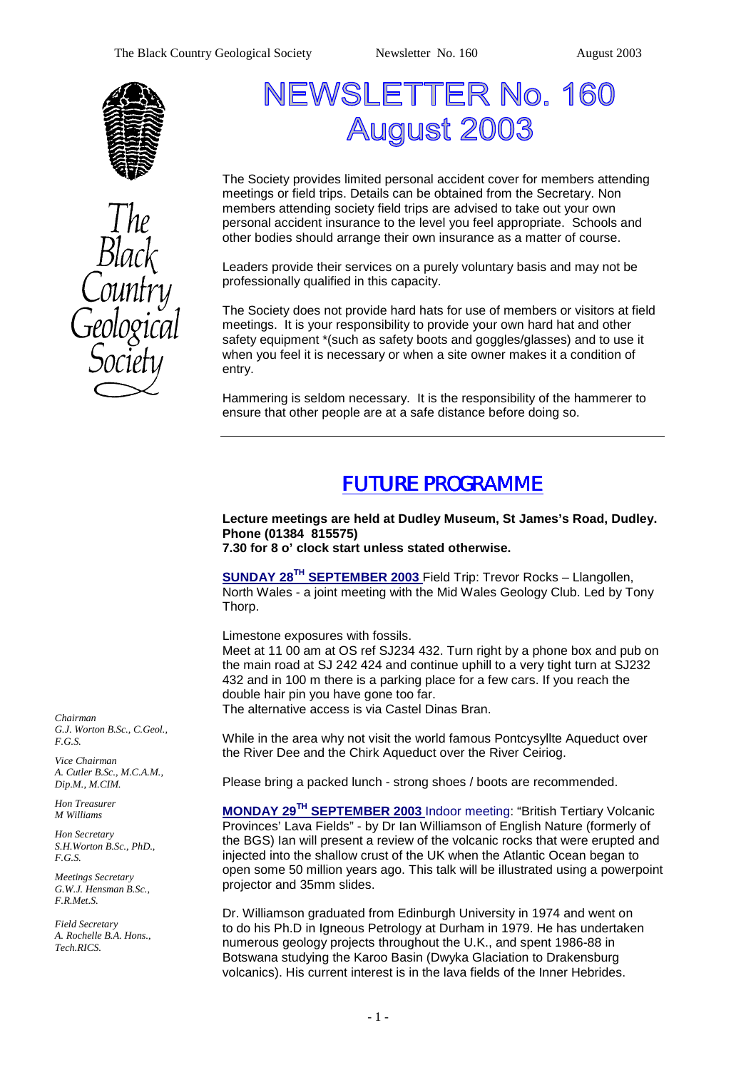



# NEWSLETTER No. 160 **August 2003**

The Society provides limited personal accident cover for members attending meetings or field trips. Details can be obtained from the Secretary. Non members attending society field trips are advised to take out your own personal accident insurance to the level you feel appropriate. Schools and other bodies should arrange their own insurance as a matter of course.

Leaders provide their services on a purely voluntary basis and may not be professionally qualified in this capacity.

The Society does not provide hard hats for use of members or visitors at field meetings. It is your responsibility to provide your own hard hat and other safety equipment \*(such as safety boots and goggles/glasses) and to use it when you feel it is necessary or when a site owner makes it a condition of entry.

Hammering is seldom necessary. It is the responsibility of the hammerer to ensure that other people are at a safe distance before doing so.

# *FUTURE PROGRAMME*

## **Lecture meetings are held at Dudley Museum, St James's Road, Dudley. Phone (01384 815575)**

**7.30 for 8 o' clock start unless stated otherwise.**

**SUNDAY 28TH SEPTEMBER 2003** Field Trip: Trevor Rocks – Llangollen, North Wales - a joint meeting with the Mid Wales Geology Club. Led by Tony Thorp.

Limestone exposures with fossils.

Meet at 11 00 am at OS ref SJ234 432. Turn right by a phone box and pub on the main road at SJ 242 424 and continue uphill to a very tight turn at SJ232 432 and in 100 m there is a parking place for a few cars. If you reach the double hair pin you have gone too far.

The alternative access is via Castel Dinas Bran.

While in the area why not visit the world famous Pontcysyllte Aqueduct over the River Dee and the Chirk Aqueduct over the River Ceiriog.

Please bring a packed lunch - strong shoes / boots are recommended.

**MONDAY 29TH SEPTEMBER 2003** Indoor meeting: "British Tertiary Volcanic Provinces' Lava Fields" - by Dr Ian Williamson of English Nature (formerly of the BGS) Ian will present a review of the volcanic rocks that were erupted and injected into the shallow crust of the UK when the Atlantic Ocean began to open some 50 million years ago. This talk will be illustrated using a powerpoint projector and 35mm slides.

Dr. Williamson graduated from Edinburgh University in 1974 and went on to do his Ph.D in Igneous Petrology at Durham in 1979. He has undertaken numerous geology projects throughout the U.K., and spent 1986-88 in Botswana studying the Karoo Basin (Dwyka Glaciation to Drakensburg volcanics). His current interest is in the lava fields of the Inner Hebrides.

*Chairman G.J. Worton B.Sc., C.Geol., F.G.S.* 

*Vice Chairman A. Cutler B.Sc., M.C.A.M., Dip.M., M.CIM.* 

*Hon Treasurer M Williams* 

*Hon Secretary S.H.Worton B.Sc., PhD., F.G.S.* 

*Meetings Secretary G.W.J. Hensman B.Sc., F.R.Met.S.* 

*Field Secretary A. Rochelle B.A. Hons., Tech.RICS.*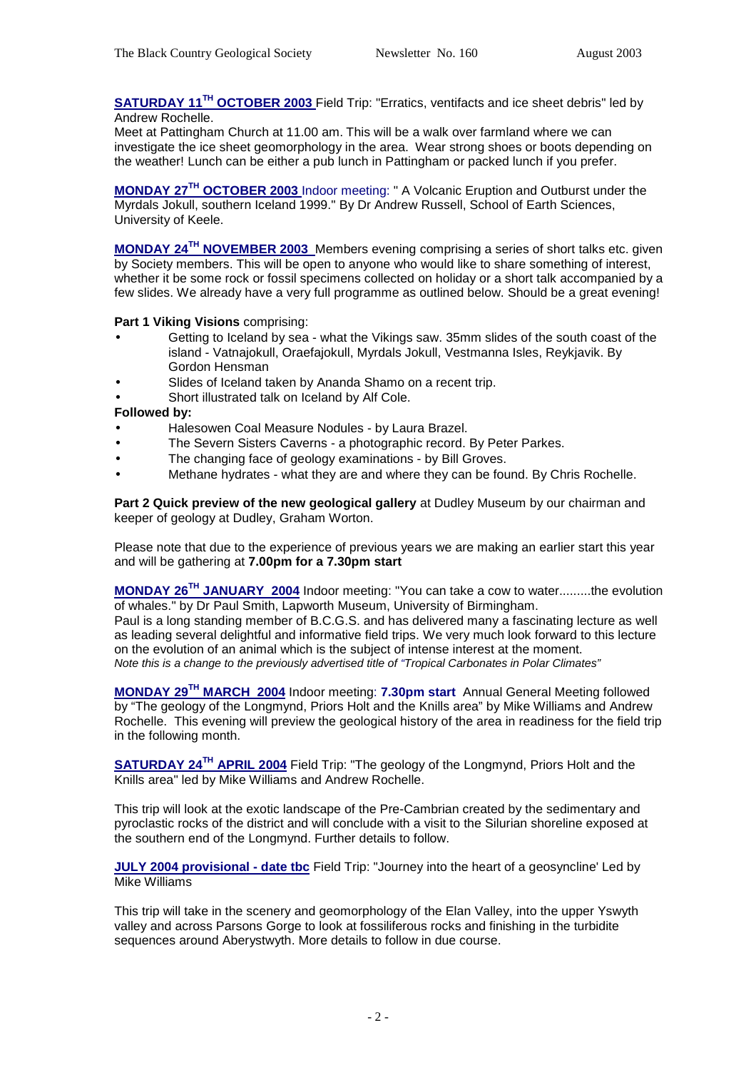**SATURDAY 11TH OCTOBER 2003** Field Trip: "Erratics, ventifacts and ice sheet debris" led by Andrew Rochelle.

Meet at Pattingham Church at 11.00 am. This will be a walk over farmland where we can investigate the ice sheet geomorphology in the area. Wear strong shoes or boots depending on the weather! Lunch can be either a pub lunch in Pattingham or packed lunch if you prefer.

**MONDAY 27TH OCTOBER 2003** Indoor meeting: " A Volcanic Eruption and Outburst under the Myrdals Jokull, southern Iceland 1999." By Dr Andrew Russell, School of Earth Sciences, University of Keele.

**MONDAY 24TH NOVEMBER 2003** Members evening comprising a series of short talks etc. given by Society members. This will be open to anyone who would like to share something of interest, whether it be some rock or fossil specimens collected on holiday or a short talk accompanied by a few slides. We already have a very full programme as outlined below. Should be a great evening!

### **Part 1 Viking Visions** comprising:

- Getting to Iceland by sea what the Vikings saw. 35mm slides of the south coast of the island - Vatnajokull, Oraefajokull, Myrdals Jokull, Vestmanna Isles, Reykjavik. By Gordon Hensman
- Slides of Iceland taken by Ananda Shamo on a recent trip.
- Short illustrated talk on Iceland by Alf Cole.

### **Followed by:**

- Halesowen Coal Measure Nodules by Laura Brazel.
- The Severn Sisters Caverns a photographic record. By Peter Parkes.
- The changing face of geology examinations by Bill Groves.
- Methane hydrates what they are and where they can be found. By Chris Rochelle.

**Part 2 Quick preview of the new geological gallery** at Dudley Museum by our chairman and keeper of geology at Dudley, Graham Worton.

Please note that due to the experience of previous years we are making an earlier start this year and will be gathering at **7.00pm for a 7.30pm start**

**MONDAY 26TH JANUARY 2004** Indoor meeting: "You can take a cow to water.........the evolution of whales." by Dr Paul Smith, Lapworth Museum, University of Birmingham.

Paul is a long standing member of B.C.G.S. and has delivered many a fascinating lecture as well as leading several delightful and informative field trips. We very much look forward to this lecture on the evolution of an animal which is the subject of intense interest at the moment. *Note this is a change to the previously advertised title of "Tropical Carbonates in Polar Climates"* 

**MONDAY 29TH MARCH 2004** Indoor meeting: **7.30pm start** Annual General Meeting followed by "The geology of the Longmynd, Priors Holt and the Knills area" by Mike Williams and Andrew Rochelle. This evening will preview the geological history of the area in readiness for the field trip in the following month.

**SATURDAY 24TH APRIL 2004** Field Trip: "The geology of the Longmynd, Priors Holt and the Knills area" led by Mike Williams and Andrew Rochelle.

This trip will look at the exotic landscape of the Pre-Cambrian created by the sedimentary and pyroclastic rocks of the district and will conclude with a visit to the Silurian shoreline exposed at the southern end of the Longmynd. Further details to follow.

**JULY 2004 provisional - date tbc** Field Trip: "Journey into the heart of a geosyncline' Led by Mike Williams

This trip will take in the scenery and geomorphology of the Elan Valley, into the upper Yswyth valley and across Parsons Gorge to look at fossiliferous rocks and finishing in the turbidite sequences around Aberystwyth. More details to follow in due course.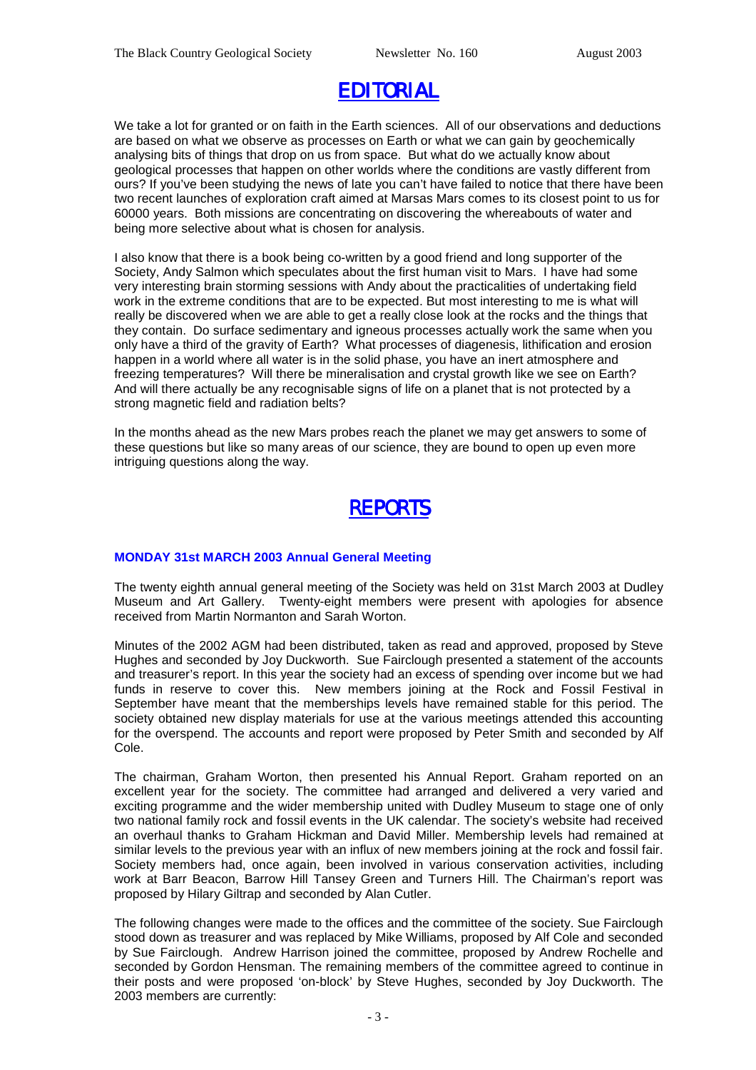# *EDITORIAL*

We take a lot for granted or on faith in the Earth sciences. All of our observations and deductions are based on what we observe as processes on Earth or what we can gain by geochemically analysing bits of things that drop on us from space. But what do we actually know about geological processes that happen on other worlds where the conditions are vastly different from ours? If you've been studying the news of late you can't have failed to notice that there have been two recent launches of exploration craft aimed at Marsas Mars comes to its closest point to us for 60000 years. Both missions are concentrating on discovering the whereabouts of water and being more selective about what is chosen for analysis.

I also know that there is a book being co-written by a good friend and long supporter of the Society, Andy Salmon which speculates about the first human visit to Mars. I have had some very interesting brain storming sessions with Andy about the practicalities of undertaking field work in the extreme conditions that are to be expected. But most interesting to me is what will really be discovered when we are able to get a really close look at the rocks and the things that they contain. Do surface sedimentary and igneous processes actually work the same when you only have a third of the gravity of Earth? What processes of diagenesis, lithification and erosion happen in a world where all water is in the solid phase, you have an inert atmosphere and freezing temperatures? Will there be mineralisation and crystal growth like we see on Earth? And will there actually be any recognisable signs of life on a planet that is not protected by a strong magnetic field and radiation belts?

In the months ahead as the new Mars probes reach the planet we may get answers to some of these questions but like so many areas of our science, they are bound to open up even more intriguing questions along the way.

# *REPORTS*

### **MONDAY 31st MARCH 2003 Annual General Meeting**

The twenty eighth annual general meeting of the Society was held on 31st March 2003 at Dudley Museum and Art Gallery. Twenty-eight members were present with apologies for absence received from Martin Normanton and Sarah Worton.

Minutes of the 2002 AGM had been distributed, taken as read and approved, proposed by Steve Hughes and seconded by Joy Duckworth. Sue Fairclough presented a statement of the accounts and treasurer's report. In this year the society had an excess of spending over income but we had funds in reserve to cover this. New members joining at the Rock and Fossil Festival in September have meant that the memberships levels have remained stable for this period. The society obtained new display materials for use at the various meetings attended this accounting for the overspend. The accounts and report were proposed by Peter Smith and seconded by Alf Cole.

The chairman, Graham Worton, then presented his Annual Report. Graham reported on an excellent year for the society. The committee had arranged and delivered a very varied and exciting programme and the wider membership united with Dudley Museum to stage one of only two national family rock and fossil events in the UK calendar. The society's website had received an overhaul thanks to Graham Hickman and David Miller. Membership levels had remained at similar levels to the previous year with an influx of new members joining at the rock and fossil fair. Society members had, once again, been involved in various conservation activities, including work at Barr Beacon, Barrow Hill Tansey Green and Turners Hill. The Chairman's report was proposed by Hilary Giltrap and seconded by Alan Cutler.

The following changes were made to the offices and the committee of the society. Sue Fairclough stood down as treasurer and was replaced by Mike Williams, proposed by Alf Cole and seconded by Sue Fairclough. Andrew Harrison joined the committee, proposed by Andrew Rochelle and seconded by Gordon Hensman. The remaining members of the committee agreed to continue in their posts and were proposed 'on-block' by Steve Hughes, seconded by Joy Duckworth. The 2003 members are currently: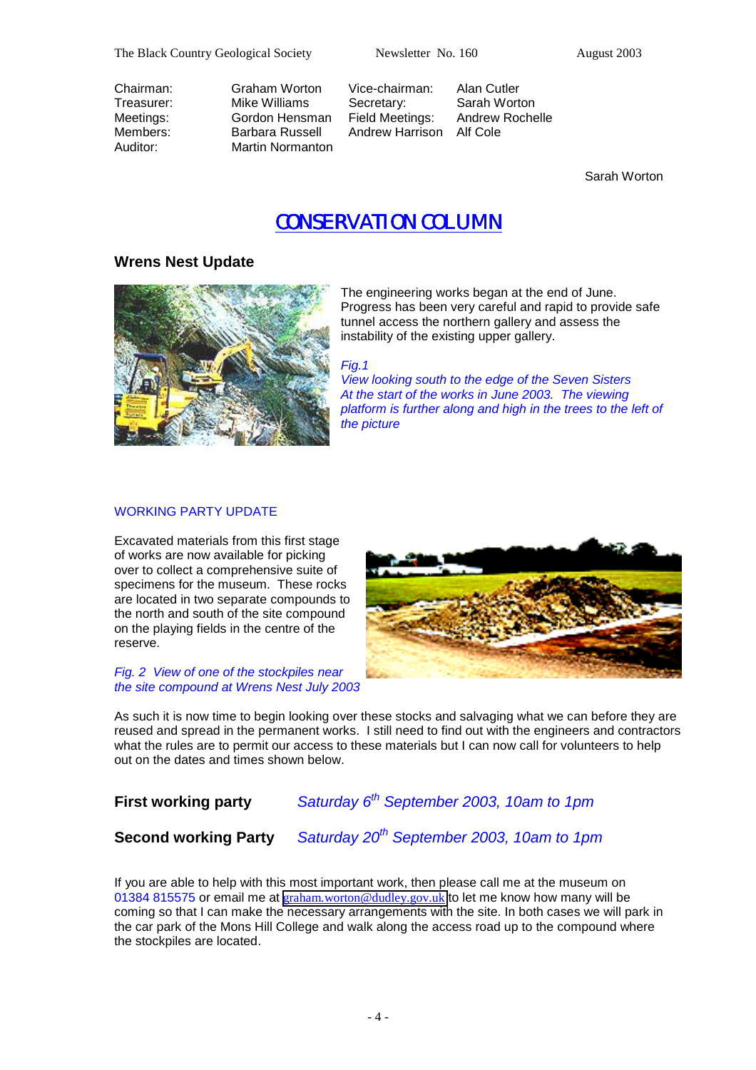The Black Country Geological Society Newsletter No. 160 August 2003

Chairman: Graham Worton Vice-chairman: Alan Cutler Treasurer: Mike Williams Secretary: Sarah Worton<br>Meetings: Gordon Hensman Field Meetings: Andrew Rochelle Meetings: Gordon Hensman Members: Barbara Russell Andrew Harrison Alf Cole Auditor: Martin Normanton

Sarah Worton

# *CONSERVATION COLUMN CONSERVATION COLUMN*

## **Wrens Nest Update**



The engineering works began at the end of June. Progress has been very careful and rapid to provide safe tunnel access the northern gallery and assess the instability of the existing upper gallery.

*Fig.1* 

*View looking south to the edge of the Seven Sisters At the start of the works in June 2003. The viewing platform is further along and high in the trees to the left of the picture* 

### WORKING PARTY UPDATE

Excavated materials from this first stage of works are now available for picking over to collect a comprehensive suite of specimens for the museum. These rocks are located in two separate compounds to the north and south of the site compound on the playing fields in the centre of the reserve.

*Fig. 2 View of one of the stockpiles near the site compound at Wrens Nest July 2003* 



As such it is now time to begin looking over these stocks and salvaging what we can before they are reused and spread in the permanent works. I still need to find out with the engineers and contractors what the rules are to permit our access to these materials but I can now call for volunteers to help out on the dates and times shown below.

# **First working party** *Saturday 6th September 2003, 10am to 1pm*

**Second working Party** *Saturday 20th September 2003, 10am to 1pm*

If you are able to help with this most important work, then please call me at the museum on 01384 815575 or email me at [graham.worton@dudley.gov.uk](mailto:graham.worton@dudley.gov.uk) to let me know how many will be coming so that I can make the necessary arrangements with the site. In both cases we will park in the car park of the Mons Hill College and walk along the access road up to the compound where the stockpiles are located.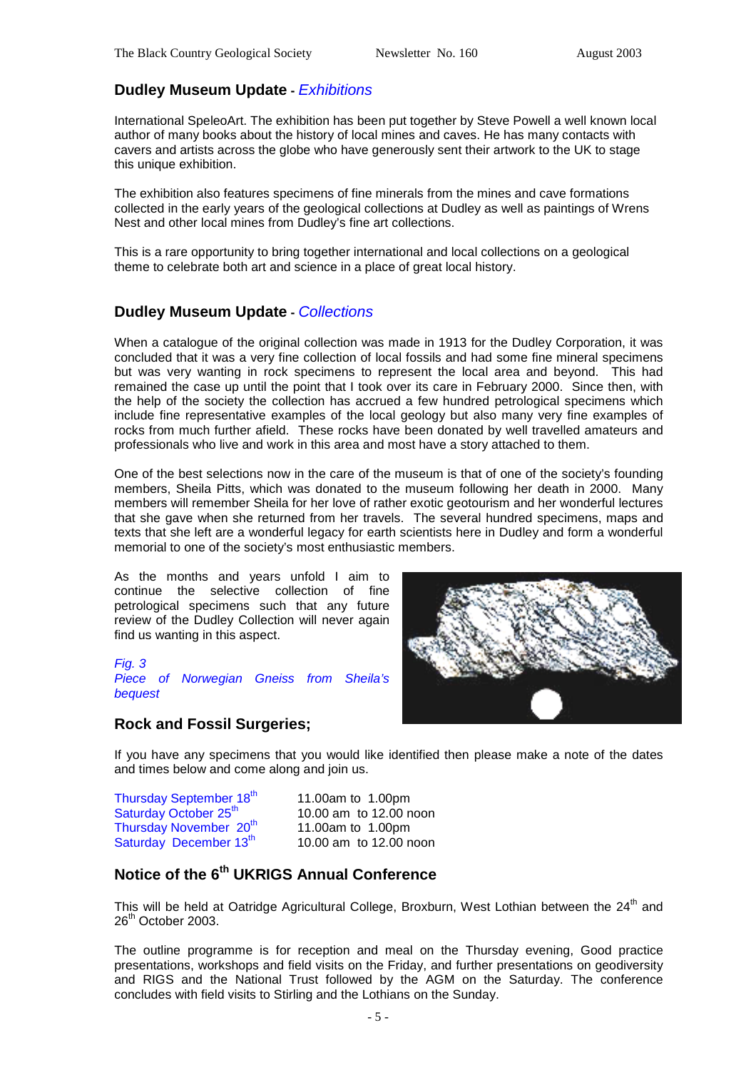## **Dudley Museum Update -** *Exhibitions*

International SpeleoArt. The exhibition has been put together by Steve Powell a well known local author of many books about the history of local mines and caves. He has many contacts with cavers and artists across the globe who have generously sent their artwork to the UK to stage this unique exhibition.

The exhibition also features specimens of fine minerals from the mines and cave formations collected in the early years of the geological collections at Dudley as well as paintings of Wrens Nest and other local mines from Dudley's fine art collections.

This is a rare opportunity to bring together international and local collections on a geological theme to celebrate both art and science in a place of great local history.

### **Dudley Museum Update -** *Collections*

When a catalogue of the original collection was made in 1913 for the Dudley Corporation, it was concluded that it was a very fine collection of local fossils and had some fine mineral specimens but was very wanting in rock specimens to represent the local area and beyond. This had remained the case up until the point that I took over its care in February 2000. Since then, with the help of the society the collection has accrued a few hundred petrological specimens which include fine representative examples of the local geology but also many very fine examples of rocks from much further afield. These rocks have been donated by well travelled amateurs and professionals who live and work in this area and most have a story attached to them.

One of the best selections now in the care of the museum is that of one of the society's founding members, Sheila Pitts, which was donated to the museum following her death in 2000. Many members will remember Sheila for her love of rather exotic geotourism and her wonderful lectures that she gave when she returned from her travels. The several hundred specimens, maps and texts that she left are a wonderful legacy for earth scientists here in Dudley and form a wonderful memorial to one of the society's most enthusiastic members.

As the months and years unfold I aim to continue the selective collection of fine petrological specimens such that any future review of the Dudley Collection will never again find us wanting in this aspect.

*Fig. 3 Piece of Norwegian Gneiss from Sheila's bequest* 

### **Rock and Fossil Surgeries;**



If you have any specimens that you would like identified then please make a note of the dates and times below and come along and join us.

Thursday September  $18^{th}$  11.00am to 1.00pm<br>Saturday October  $25^{th}$  10.00 am to 12.00 n Thursday November  $20<sup>th</sup>$  11.00am to 1.00pm Saturday December  $13<sup>th</sup>$  10.00 am to 12.00 noon

10.00 am to 12.00 noon

# **Notice of the 6th UKRIGS Annual Conference**

This will be held at Oatridge Agricultural College, Broxburn, West Lothian between the 24<sup>th</sup> and 26<sup>th</sup> October 2003.

The outline programme is for reception and meal on the Thursday evening, Good practice presentations, workshops and field visits on the Friday, and further presentations on geodiversity and RIGS and the National Trust followed by the AGM on the Saturday. The conference concludes with field visits to Stirling and the Lothians on the Sunday.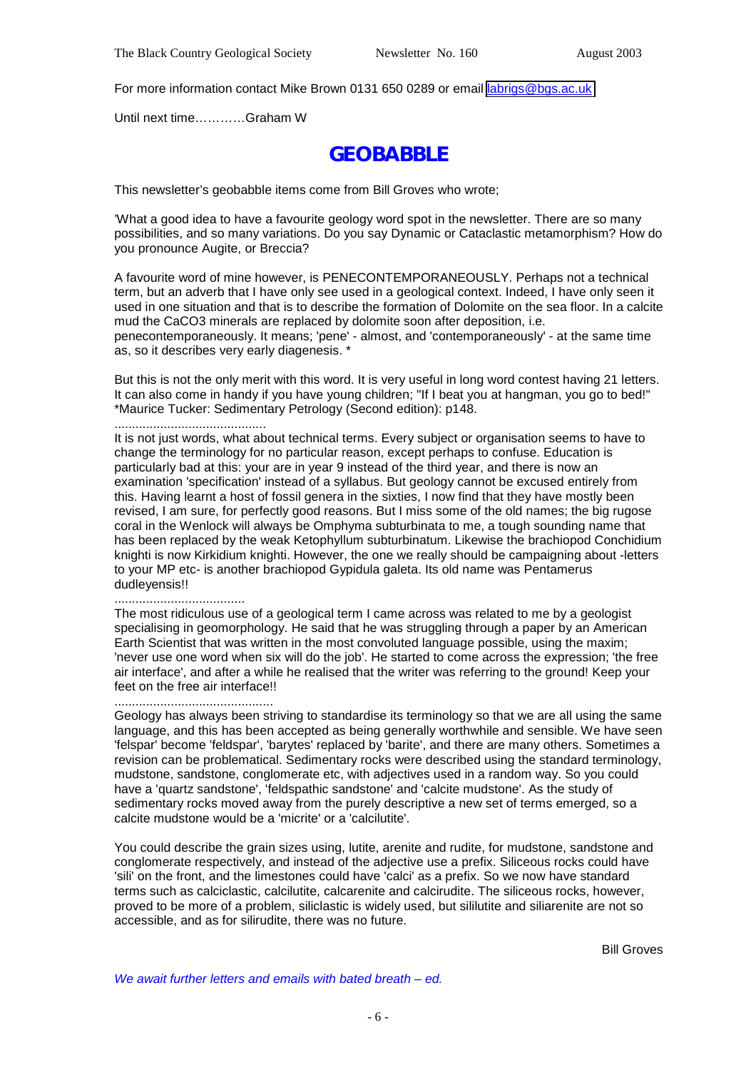For more information contact Mike Brown 0131 650 0289 or email [labrigs@bgs.ac.uk](mailto:labrigs@bgs.ac.uk)

Until next time…………Graham W

# **GEOBABBLE**

This newsletter's geobabble items come from Bill Groves who wrote;

'What a good idea to have a favourite geology word spot in the newsletter. There are so many possibilities, and so many variations. Do you say Dynamic or Cataclastic metamorphism? How do you pronounce Augite, or Breccia?

A favourite word of mine however, is PENECONTEMPORANEOUSLY. Perhaps not a technical term, but an adverb that I have only see used in a geological context. Indeed, I have only seen it used in one situation and that is to describe the formation of Dolomite on the sea floor. In a calcite mud the CaCO3 minerals are replaced by dolomite soon after deposition, i.e. penecontemporaneously. It means; 'pene' - almost, and 'contemporaneously' - at the same time as, so it describes very early diagenesis. \*

But this is not the only merit with this word. It is very useful in long word contest having 21 letters. It can also come in handy if you have young children; "If I beat you at hangman, you go to bed!" \*Maurice Tucker: Sedimentary Petrology (Second edition): p148.

...........................................

It is not just words, what about technical terms. Every subject or organisation seems to have to change the terminology for no particular reason, except perhaps to confuse. Education is particularly bad at this: your are in year 9 instead of the third year, and there is now an examination 'specification' instead of a syllabus. But geology cannot be excused entirely from this. Having learnt a host of fossil genera in the sixties, I now find that they have mostly been revised, I am sure, for perfectly good reasons. But I miss some of the old names; the big rugose coral in the Wenlock will always be Omphyma subturbinata to me, a tough sounding name that has been replaced by the weak Ketophyllum subturbinatum. Likewise the brachiopod Conchidium knighti is now Kirkidium knighti. However, the one we really should be campaigning about -letters to your MP etc- is another brachiopod Gypidula galeta. Its old name was Pentamerus dudleyensis!!

#### .....................................

The most ridiculous use of a geological term I came across was related to me by a geologist specialising in geomorphology. He said that he was struggling through a paper by an American Earth Scientist that was written in the most convoluted language possible, using the maxim; 'never use one word when six will do the job'. He started to come across the expression; 'the free air interface', and after a while he realised that the writer was referring to the ground! Keep your feet on the free air interface!!

#### .............................................

Geology has always been striving to standardise its terminology so that we are all using the same language, and this has been accepted as being generally worthwhile and sensible. We have seen 'felspar' become 'feldspar', 'barytes' replaced by 'barite', and there are many others. Sometimes a revision can be problematical. Sedimentary rocks were described using the standard terminology, mudstone, sandstone, conglomerate etc, with adjectives used in a random way. So you could have a 'quartz sandstone', 'feldspathic sandstone' and 'calcite mudstone'. As the study of sedimentary rocks moved away from the purely descriptive a new set of terms emerged, so a calcite mudstone would be a 'micrite' or a 'calcilutite'.

You could describe the grain sizes using, lutite, arenite and rudite, for mudstone, sandstone and conglomerate respectively, and instead of the adjective use a prefix. Siliceous rocks could have 'sili' on the front, and the limestones could have 'calci' as a prefix. So we now have standard terms such as calciclastic, calcilutite, calcarenite and calcirudite. The siliceous rocks, however, proved to be more of a problem, siliclastic is widely used, but sililutite and siliarenite are not so accessible, and as for silirudite, there was no future.

Bill Groves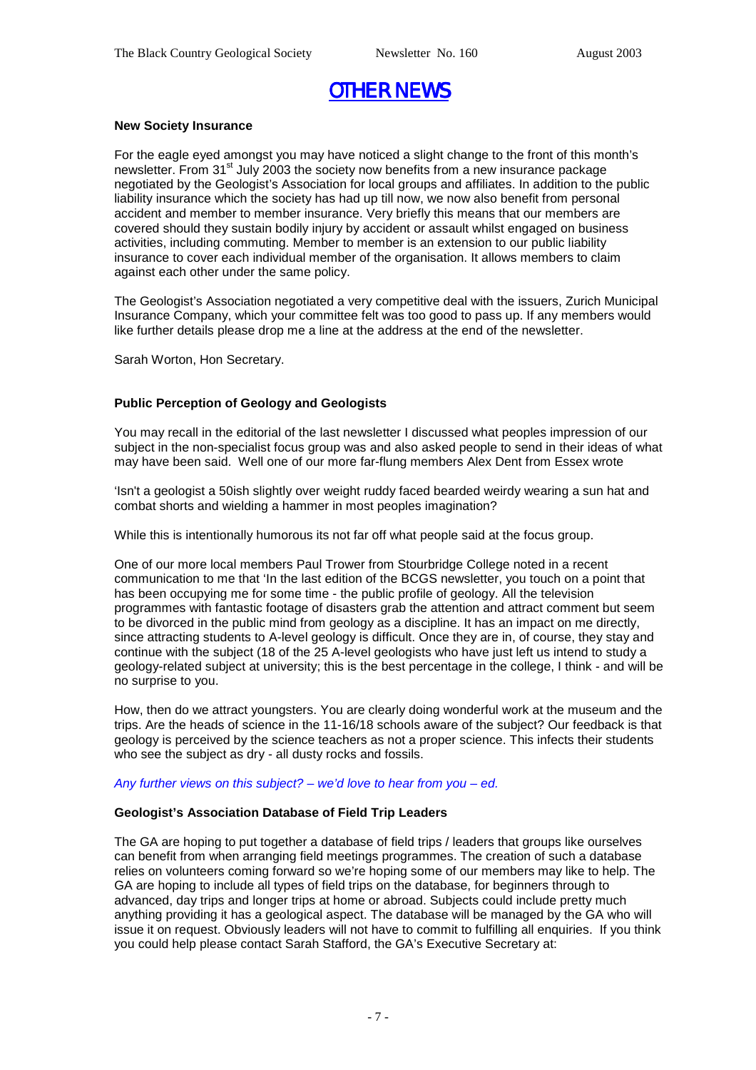# *OTHER NEWS*

### **New Society Insurance**

For the eagle eyed amongst you may have noticed a slight change to the front of this month's newsletter. From  $31^{\text{st}}$  July 2003 the society now benefits from a new insurance package negotiated by the Geologist's Association for local groups and affiliates. In addition to the public liability insurance which the society has had up till now, we now also benefit from personal accident and member to member insurance. Very briefly this means that our members are covered should they sustain bodily injury by accident or assault whilst engaged on business activities, including commuting. Member to member is an extension to our public liability insurance to cover each individual member of the organisation. It allows members to claim against each other under the same policy.

The Geologist's Association negotiated a very competitive deal with the issuers, Zurich Municipal Insurance Company, which your committee felt was too good to pass up. If any members would like further details please drop me a line at the address at the end of the newsletter.

Sarah Worton, Hon Secretary.

### **Public Perception of Geology and Geologists**

You may recall in the editorial of the last newsletter I discussed what peoples impression of our subject in the non-specialist focus group was and also asked people to send in their ideas of what may have been said. Well one of our more far-flung members Alex Dent from Essex wrote

'Isn't a geologist a 50ish slightly over weight ruddy faced bearded weirdy wearing a sun hat and combat shorts and wielding a hammer in most peoples imagination?

While this is intentionally humorous its not far off what people said at the focus group.

One of our more local members Paul Trower from Stourbridge College noted in a recent communication to me that 'In the last edition of the BCGS newsletter, you touch on a point that has been occupying me for some time - the public profile of geology. All the television programmes with fantastic footage of disasters grab the attention and attract comment but seem to be divorced in the public mind from geology as a discipline. It has an impact on me directly, since attracting students to A-level geology is difficult. Once they are in, of course, they stay and continue with the subject (18 of the 25 A-level geologists who have just left us intend to study a geology-related subject at university; this is the best percentage in the college, I think - and will be no surprise to you.

How, then do we attract youngsters. You are clearly doing wonderful work at the museum and the trips. Are the heads of science in the 11-16/18 schools aware of the subject? Our feedback is that geology is perceived by the science teachers as not a proper science. This infects their students who see the subject as dry - all dusty rocks and fossils.

#### *Any further views on this subject? – we'd love to hear from you – ed.*

### **Geologist's Association Database of Field Trip Leaders**

The GA are hoping to put together a database of field trips / leaders that groups like ourselves can benefit from when arranging field meetings programmes. The creation of such a database relies on volunteers coming forward so we're hoping some of our members may like to help. The GA are hoping to include all types of field trips on the database, for beginners through to advanced, day trips and longer trips at home or abroad. Subjects could include pretty much anything providing it has a geological aspect. The database will be managed by the GA who will issue it on request. Obviously leaders will not have to commit to fulfilling all enquiries. If you think you could help please contact Sarah Stafford, the GA's Executive Secretary at: